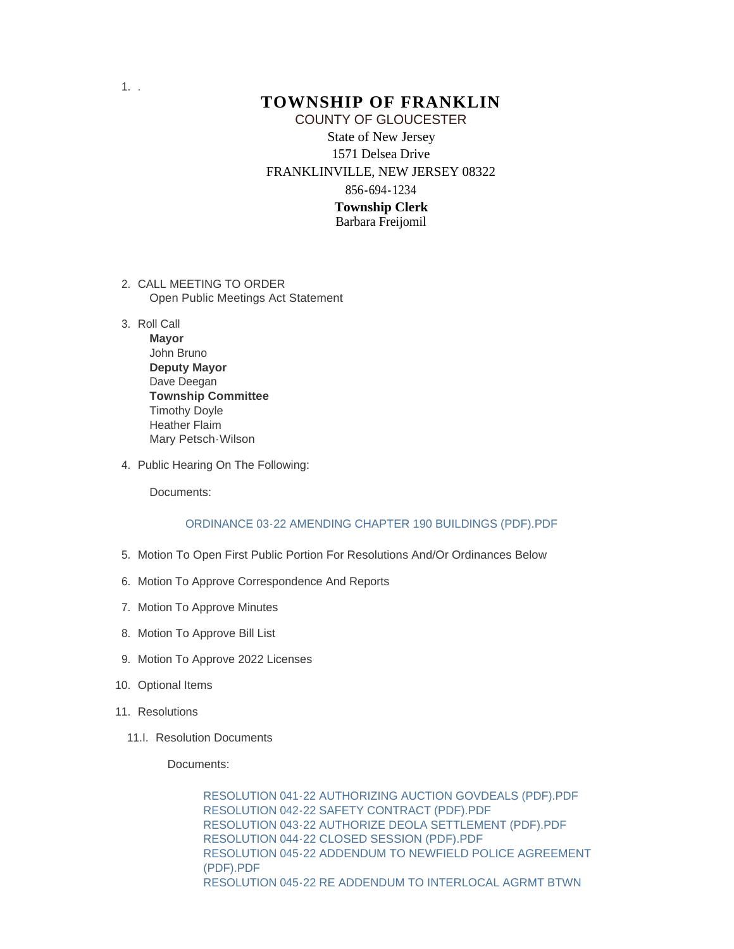## **TOWNSHIP OF FRANKLIN** State of New Jersey 1571 Delsea Drive FRANKLINVILLE, NEW JERSEY 08322 856-694-1234 COUNTY OF GLOUCESTER

**Township Clerk** Barbara Freijomil

- 2. CALL MEETING TO ORDER Open Public Meetings Act Statement
- 3. Roll Call
	- **Mayor** John Bruno **Deputy Mayor** Dave Deegan **Township Committee** Timothy Doyle Heather Flaim Mary Petsch-Wilson
- 4. Public Hearing On The Following:

Documents:

## [ORDINANCE 03-22 AMENDING CHAPTER 190 BUILDINGS \(PDF\).PDF](https://www.franklintownshipnj.org/AgendaCenter/ViewFile/Item/1522?fileID=689)

- 5. Motion To Open First Public Portion For Resolutions And/Or Ordinances Below
- 6. Motion To Approve Correspondence And Reports
- 7. Motion To Approve Minutes
- 8. Motion To Approve Bill List
- 9. Motion To Approve 2022 Licenses
- 10. Optional Items
- 11. Resolutions
	- 11.I. Resolution Documents

Documents:

[RESOLUTION 041-22 AUTHORIZING AUCTION GOVDEALS \(PDF\).PDF](https://www.franklintownshipnj.org/AgendaCenter/ViewFile/Item/1521?fileID=683) [RESOLUTION 042-22 SAFETY CONTRACT \(PDF\).PDF](https://www.franklintownshipnj.org/AgendaCenter/ViewFile/Item/1521?fileID=684) [RESOLUTION 043-22 AUTHORIZE DEOLA SETTLEMENT \(PDF\).PDF](https://www.franklintownshipnj.org/AgendaCenter/ViewFile/Item/1521?fileID=685) [RESOLUTION 044-22 CLOSED SESSION \(PDF\).PDF](https://www.franklintownshipnj.org/AgendaCenter/ViewFile/Item/1521?fileID=686) [RESOLUTION 045-22 ADDENDUM TO NEWFIELD POLICE AGREEMENT](https://www.franklintownshipnj.org/AgendaCenter/ViewFile/Item/1521?fileID=687)  (PDF).PDF [RESOLUTION 045-22 RE ADDENDUM TO INTERLOCAL AGRMT BTWN](https://www.franklintownshipnj.org/AgendaCenter/ViewFile/Item/1521?fileID=688) 

. 1.